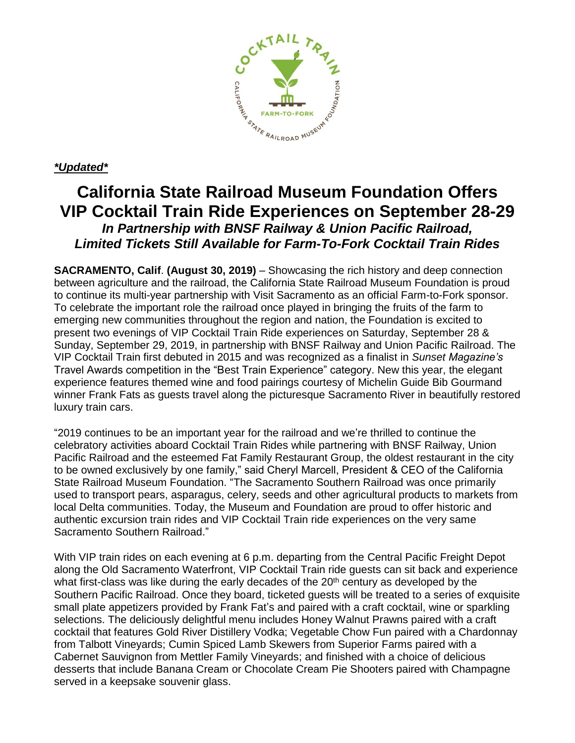

## *\*Updated\**

## **California State Railroad Museum Foundation Offers VIP Cocktail Train Ride Experiences on September 28-29** *In Partnership with BNSF Railway & Union Pacific Railroad, Limited Tickets Still Available for Farm-To-Fork Cocktail Train Rides*

**SACRAMENTO, Calif**. **(August 30, 2019)** – Showcasing the rich history and deep connection between agriculture and the railroad, the California State Railroad Museum Foundation is proud to continue its multi-year partnership with Visit Sacramento as an official Farm-to-Fork sponsor. To celebrate the important role the railroad once played in bringing the fruits of the farm to emerging new communities throughout the region and nation, the Foundation is excited to present two evenings of VIP Cocktail Train Ride experiences on Saturday, September 28 & Sunday, September 29, 2019, in partnership with BNSF Railway and Union Pacific Railroad. The VIP Cocktail Train first debuted in 2015 and was recognized as a finalist in *Sunset Magazine's* Travel Awards competition in the "Best Train Experience" category. New this year, the elegant experience features themed wine and food pairings courtesy of Michelin Guide Bib Gourmand winner Frank Fats as guests travel along the picturesque Sacramento River in beautifully restored luxury train cars.

"2019 continues to be an important year for the railroad and we're thrilled to continue the celebratory activities aboard Cocktail Train Rides while partnering with BNSF Railway, Union Pacific Railroad and the esteemed Fat Family Restaurant Group, the oldest restaurant in the city to be owned exclusively by one family," said Cheryl Marcell, President & CEO of the California State Railroad Museum Foundation. "The Sacramento Southern Railroad was once primarily used to transport pears, asparagus, celery, seeds and other agricultural products to markets from local Delta communities. Today, the Museum and Foundation are proud to offer historic and authentic excursion train rides and VIP Cocktail Train ride experiences on the very same Sacramento Southern Railroad."

With VIP train rides on each evening at 6 p.m. departing from the Central Pacific Freight Depot along the Old Sacramento Waterfront, VIP Cocktail Train ride guests can sit back and experience what first-class was like during the early decades of the 20<sup>th</sup> century as developed by the Southern Pacific Railroad. Once they board, ticketed guests will be treated to a series of exquisite small plate appetizers provided by Frank Fat's and paired with a craft cocktail, wine or sparkling selections. The deliciously delightful menu includes Honey Walnut Prawns paired with a craft cocktail that features Gold River Distillery Vodka; Vegetable Chow Fun paired with a Chardonnay from Talbott Vineyards; Cumin Spiced Lamb Skewers from Superior Farms paired with a Cabernet Sauvignon from Mettler Family Vineyards; and finished with a choice of delicious desserts that include Banana Cream or Chocolate Cream Pie Shooters paired with Champagne served in a keepsake souvenir glass.